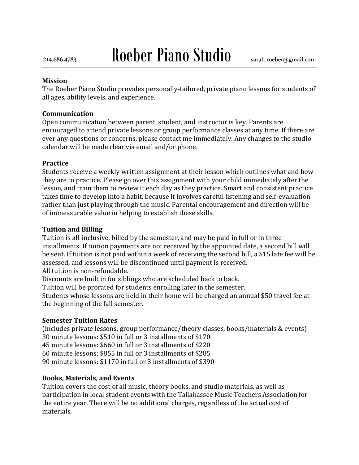# 214.686.4783 Roeber Piano Studio sarah.roeber@gmail.com

#### **Mission**

The Roeber Piano Studio provides personally-tailored, private piano lessons for students of all ages, ability levels, and experience.

#### **Communication**

Open communication between parent, student, and instructor is key. Parents are encouraged to attend private lessons or group performance classes at any time. If there are ever any questions or concerns, please contact me immediately. Any changes to the studio calendar will be made clear via email and/or phone.

## **Practice**

Students receive a weekly written assignment at their lesson which outlines what and how they are to practice. Please go over this assignment with your child immediately after the lesson, and train them to review it each day as they practice. Smart and consistent practice takes time to develop into a habit, because it involves careful listening and self-evaluation rather than just playing through the music. Parental encouragement and direction will be of immeasurable value in helping to establish these skills.

## **Tuition and Billing**

Tuition is all-inclusive, billed by the semester, and may be paid in full or in three installments. If tuition payments are not received by the appointed date, a second bill will be sent. If tuition is not paid within a week of receiving the second bill, a \$15 late fee will be assessed, and lessons will be discontinued until payment is received. All tuition is non-refundable.

Discounts are built in for siblings who are scheduled back to back.

Tuition will be prorated for students enrolling later in the semester.

Students whose lessons are held in their home will be charged an annual \$50 travel fee at the beginning of the fall semester.

## **Semester Tuition Rates**

(includes private lessons, group performance/theory classes, books/materials & events) 30 minute lessons: \$510 in full or 3 installments of \$170

45 minute lessons: \$660 in full or 3 installments of \$220

60 minute lessons: \$855 in full or 3 installments of \$285

90 minute lessons: \$1170 in full or 3 installments of \$390

## **Books, Materials, and Events**

Tuition covers the cost of all music, theory books, and studio materials, as well as participation in local student events with the Tallahassee Music Teachers Association for the entire year. There will be no additional charges, regardless of the actual cost of materials.